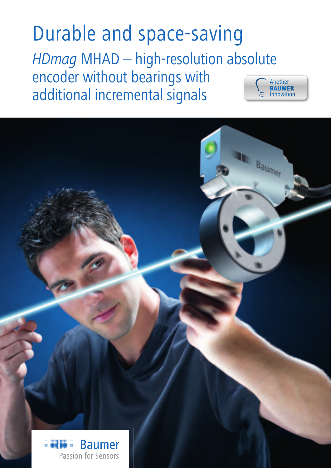Durable and space-saving *HDmag* MHAD – high-resolution absolute encoder without bearings with Another RAIIMFR additional incremental signals

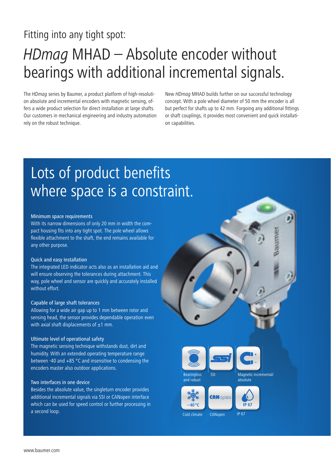### Fitting into any tight spot:

# *HDmag* MHAD – Absolute encoder without bearings with additional incremental signals.

The *HDmag* series by Baumer, a product platform of high-resolution absolute and incremental encoders with magnetic sensing, offers a wide product selection for direct installation at large shafts. Our customers in mechanical engineering and industry automation rely on the robust technique.

New *HDmag* MHAD builds further on our successful technology concept. With a pole wheel diameter of 50 mm the encoder is all but perfect for shafts up to 42 mm. Forgoing any additional fittings or shaft couplings, it provides most convenient and quick installation capabilities.

### Lots of product benefits where space is a constraint.

#### Minimum space requirements

With its narrow dimensions of only 20 mm in width the compact housing fits into any tight spot. The pole wheel allows flexible attachment to the shaft, the end remains available for any other purpose.

#### Quick and easy installation

The integrated LED indicator acts also as an installation aid and will ensure observing the tolerances during attachment. This way, pole wheel and sensor are quickly and accurately installed without effort.

#### Capable of large shaft tolerances

Allowing for a wide air gap up to 1 mm between rotor and sensing head, the sensor provides dependable operation even with axial shaft displacements of  $\pm 1$  mm.

#### Ultimate level of operational safety

The magnetic sensing technique withstands dust, dirt and humidity. With an extended operating temperature range between -40 and +85 °C and insensitive to condensing the encoders master also outdoor applications.

#### Two interfaces in one device

Besides the absolute value, the singleturn encoder provides additional incremental signals via SSI or CANopen interface which can be used for speed control or further processing in a second loop.









Cold climate CANopen

IP 67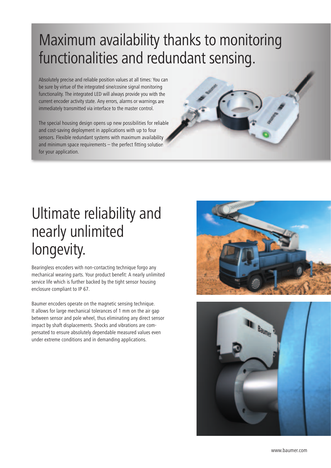# Maximum availability thanks to monitoring functionalities and redundant sensing.

Absolutely precise and reliable position values at all times: You can be sure by virtue of the integrated sine/cosine signal monitoring functionality. The integrated LED will always provide you with the current encoder activity state. Any errors, alarms or warnings are immediately transmitted via interface to the master control.

The special housing design opens up new possibilities for reliable and cost-saving deployment in applications with up to four sensors. Flexible redundant systems with maximum availability and minimum space requirements  $-$  the perfect fitting solution for your application.

## Ultimate reliability and nearly unlimited longevity.

Bearingless encoders with non-contacting technique forgo any mechanical wearing parts. Your product benefit: A nearly unlimited service life which is further backed by the tight sensor housing enclosure compliant to IP 67.

Baumer encoders operate on the magnetic sensing technique. It allows for large mechanical tolerances of 1 mm on the air gap between sensor and pole wheel, thus eliminating any direct sensor impact by shaft displacements. Shocks and vibrations are compensated to ensure absolutely dependable measured values even under extreme conditions and in demanding applications.